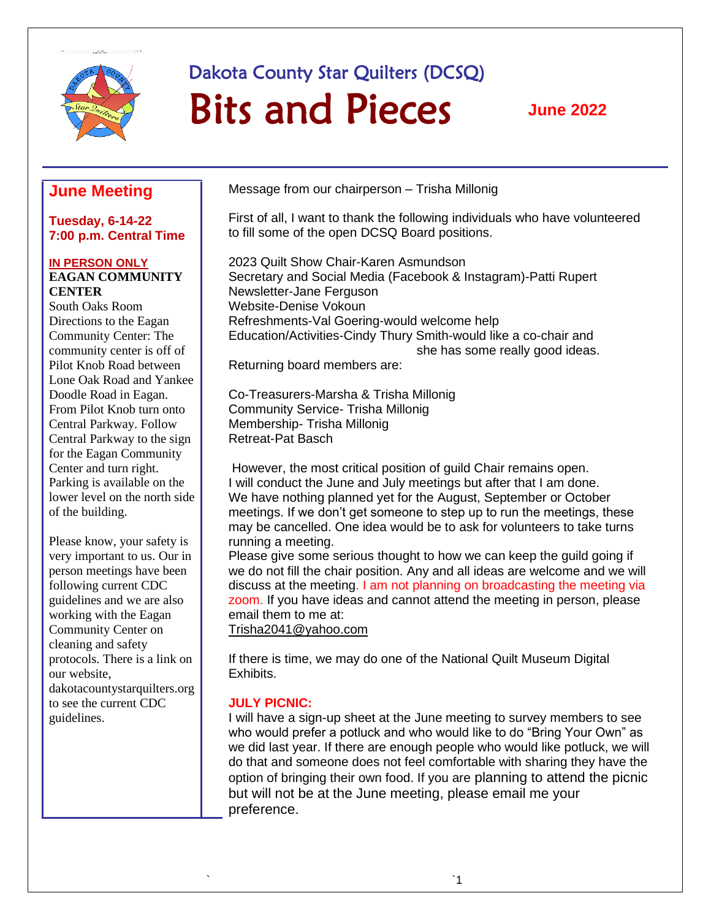

# Dakota County Star Quilters (DCSQ) Bits and Pieces

**June 2022**

# **June Meeting**

#### **Tuesday, 6-14-22 7:00 p.m. Central Time**

#### **IN PERSON ONLY EAGAN COMMUNITY CENTER**

South Oaks Room Directions to the Eagan Community Center: The community center is off of Pilot Knob Road between Lone Oak Road and Yankee Doodle Road in Eagan. From Pilot Knob turn onto Central Parkway. Follow Central Parkway to the sign for the Eagan Community Center and turn right. Parking is available on the lower level on the north side of the building.

Please know, your safety is very important to us. Our in person meetings have been following current CDC guidelines and we are also working with the Eagan Community Center on cleaning and safety protocols. There is a link on our website, dakotacountystarquilters.org to see the current CDC guidelines.

Message from our chairperson – Trisha Millonig

First of all, I want to thank the following individuals who have volunteered to fill some of the open DCSQ Board positions.

2023 Quilt Show Chair-Karen Asmundson Secretary and Social Media (Facebook & Instagram)-Patti Rupert Newsletter-Jane Ferguson Website-Denise Vokoun Refreshments-Val Goering-would welcome help Education/Activities-Cindy Thury Smith-would like a co-chair and she has some really good ideas.

Returning board members are:

Co-Treasurers-Marsha & Trisha Millonig Community Service- Trisha Millonig Membership- Trisha Millonig Retreat-Pat Basch

However, the most critical position of guild Chair remains open. I will conduct the June and July meetings but after that I am done. We have nothing planned yet for the August, September or October meetings. If we don't get someone to step up to run the meetings, these may be cancelled. One idea would be to ask for volunteers to take turns running a meeting.

Please give some serious thought to how we can keep the guild going if we do not fill the chair position. Any and all ideas are welcome and we will discuss at the meeting. I am not planning on broadcasting the meeting via zoom. If you have ideas and cannot attend the meeting in person, please email them to me at:

[Trisha2041@yahoo.com](mailto:Trisha2041@yahoo.com)

If there is time, we may do one of the National Quilt Museum Digital Exhibits.

## **JULY PICNIC:**

I will have a sign-up sheet at the June meeting to survey members to see who would prefer a potluck and who would like to do "Bring Your Own" as we did last year. If there are enough people who would like potluck, we will do that and someone does not feel comfortable with sharing they have the option of bringing their own food. If you are planning to attend the picnic but will not be at the June meeting, please email me your preference.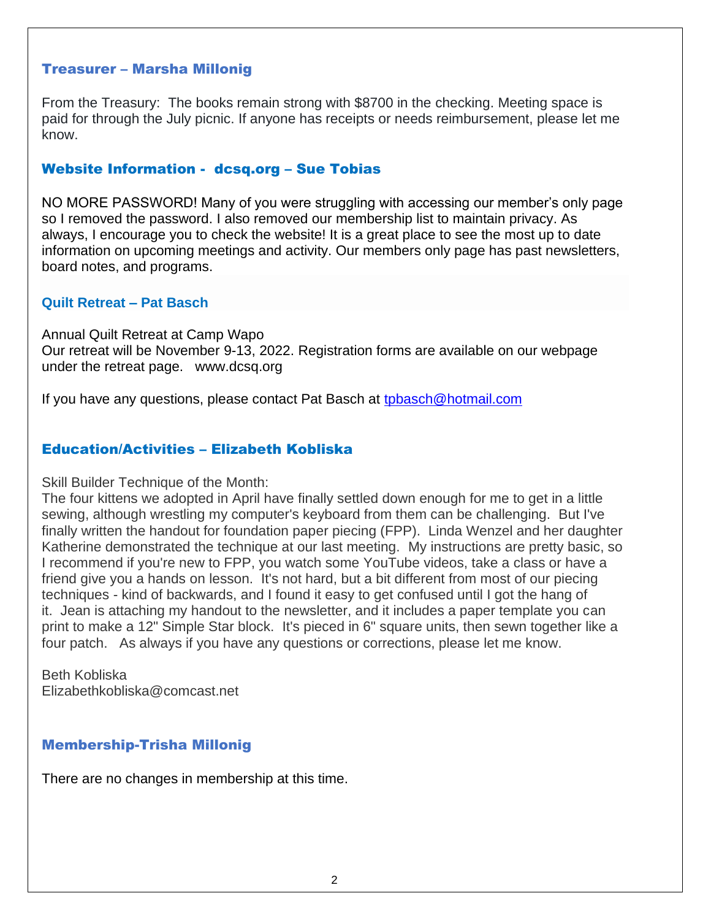## Treasurer – Marsha Millonig

From the Treasury: The books remain strong with \$8700 in the checking. Meeting space is paid for through the July picnic. If anyone has receipts or needs reimbursement, please let me know.

## Website Information - dcsq.org – Sue Tobias

NO MORE PASSWORD! Many of you were struggling with accessing our member's only page so I removed the password. I also removed our membership list to maintain privacy. As always, I encourage you to check the website! It is a great place to see the most up to date information on upcoming meetings and activity. Our members only page has past newsletters, board notes, and programs.

## **Quilt Retreat – Pat Basch**

Annual Quilt Retreat at Camp Wapo Our retreat will be November 9-13, 2022. Registration forms are available on our webpage under the retreat page. www.dcsq.org

If you have any questions, please contact Pat Basch at [tpbasch@hotmail.com](mailto:tpbasch@hotmail.com)

## Education/Activities – Elizabeth Kobliska

Skill Builder Technique of the Month:

The four kittens we adopted in April have finally settled down enough for me to get in a little sewing, although wrestling my computer's keyboard from them can be challenging. But I've finally written the handout for foundation paper piecing (FPP). Linda Wenzel and her daughter Katherine demonstrated the technique at our last meeting. My instructions are pretty basic, so I recommend if you're new to FPP, you watch some YouTube videos, take a class or have a friend give you a hands on lesson. It's not hard, but a bit different from most of our piecing techniques - kind of backwards, and I found it easy to get confused until I got the hang of it. Jean is attaching my handout to the newsletter, and it includes a paper template you can print to make a 12" Simple Star block. It's pieced in 6" square units, then sewn together like a four patch. As always if you have any questions or corrections, please let me know.

Beth Kobliska Elizabethkobliska@comcast.net

## Membership-Trisha Millonig

There are no changes in membership at this time.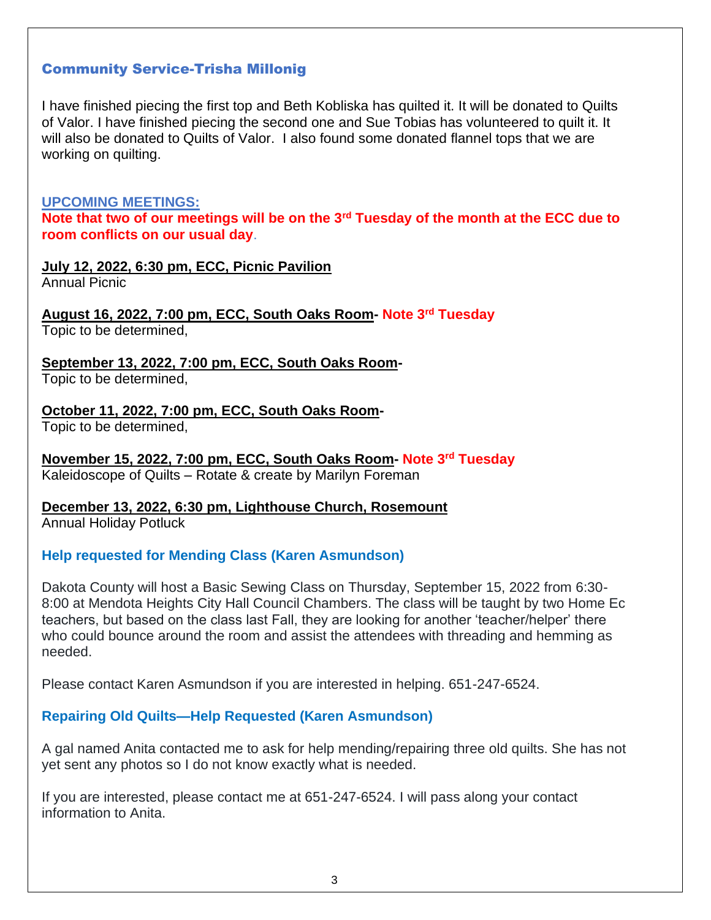## Community Service-Trisha Millonig

I have finished piecing the first top and Beth Kobliska has quilted it. It will be donated to Quilts of Valor. I have finished piecing the second one and Sue Tobias has volunteered to quilt it. It will also be donated to Quilts of Valor. I also found some donated flannel tops that we are working on quilting.

#### **UPCOMING MEETINGS:**

**Note that two of our meetings will be on the 3rd Tuesday of the month at the ECC due to room conflicts on our usual day**.

## **July 12, 2022, 6:30 pm, ECC, Picnic Pavilion**

Annual Picnic

**August 16, 2022, 7:00 pm, ECC, South Oaks Room- Note 3rd Tuesday** Topic to be determined,

**September 13, 2022, 7:00 pm, ECC, South Oaks Room-**

Topic to be determined,

**October 11, 2022, 7:00 pm, ECC, South Oaks Room-**Topic to be determined,

**November 15, 2022, 7:00 pm, ECC, South Oaks Room- Note 3rd Tuesday** Kaleidoscope of Quilts – Rotate & create by Marilyn Foreman

**December 13, 2022, 6:30 pm, Lighthouse Church, Rosemount** Annual Holiday Potluck

## **Help requested for Mending Class (Karen Asmundson)**

Dakota County will host a Basic Sewing Class on Thursday, September 15, 2022 from 6:30- 8:00 at Mendota Heights City Hall Council Chambers. The class will be taught by two Home Ec teachers, but based on the class last Fall, they are looking for another 'teacher/helper' there who could bounce around the room and assist the attendees with threading and hemming as needed.

Please contact Karen Asmundson if you are interested in helping. 651-247-6524.

## **Repairing Old Quilts—Help Requested (Karen Asmundson)**

A gal named Anita contacted me to ask for help mending/repairing three old quilts. She has not yet sent any photos so I do not know exactly what is needed.

If you are interested, please contact me at 651-247-6524. I will pass along your contact information to Anita.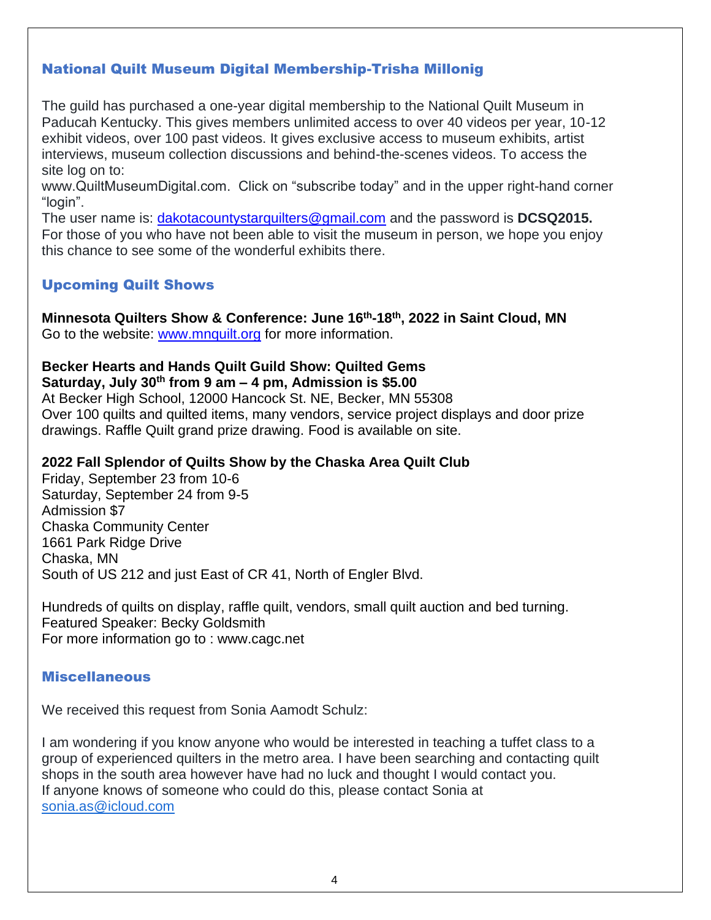# National Quilt Museum Digital Membership-Trisha Millonig

The guild has purchased a one-year digital membership to the National Quilt Museum in Paducah Kentucky. This gives members unlimited access to over 40 videos per year, 10-12 exhibit videos, over 100 past videos. It gives exclusive access to museum exhibits, artist interviews, museum collection discussions and behind-the-scenes videos. To access the site log on to:

www.QuiltMuseumDigital.com. Click on "subscribe today" and in the upper right-hand corner "login".

The user name is: [dakotacountystarquilters@gmail.com](mailto:dakotacountystarquilters@gmail.com) and the password is **DCSQ2015.** For those of you who have not been able to visit the museum in person, we hope you enjoy this chance to see some of the wonderful exhibits there.

## Upcoming Quilt Shows

**Minnesota Quilters Show & Conference: June 16th-18th, 2022 in Saint Cloud, MN** Go to the website: [www.mnquilt.org](http://www.mnquilt.org/) for more information.

#### **Becker Hearts and Hands Quilt Guild Show: Quilted Gems Saturday, July 30th from 9 am – 4 pm, Admission is \$5.00**

At Becker High School, 12000 Hancock St. NE, Becker, MN 55308 Over 100 quilts and quilted items, many vendors, service project displays and door prize drawings. Raffle Quilt grand prize drawing. Food is available on site.

## **2022 Fall Splendor of Quilts Show by the Chaska Area Quilt Club**

Friday, September 23 from 10-6 Saturday, September 24 from 9-5 Admission \$7 Chaska Community Center 1661 Park Ridge Drive Chaska, MN South of US 212 and just East of CR 41, North of Engler Blvd.

Hundreds of quilts on display, raffle quilt, vendors, small quilt auction and bed turning. Featured Speaker: Becky Goldsmith For more information go to : www.cagc.net

## Miscellaneous

We received this request from Sonia Aamodt Schulz:

I am wondering if you know anyone who would be interested in teaching a tuffet class to a group of experienced quilters in the metro area. I have been searching and contacting quilt shops in the south area however have had no luck and thought I would contact you. If anyone knows of someone who could do this, please contact Sonia at [sonia.as@icloud.com](mailto:sonia.as@icloud.com)